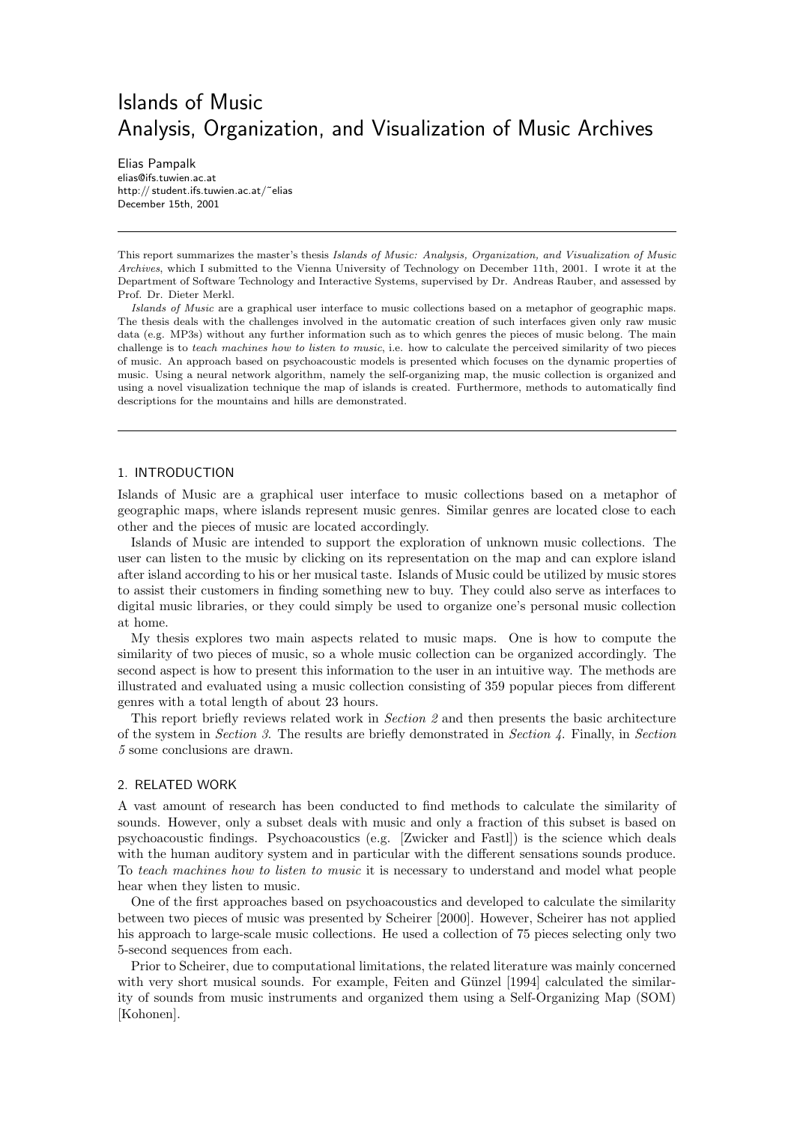# Islands of Music Analysis, Organization, and Visualization of Music Archives

Elias Pampalk elias@ifs.tuwien.ac.at http:// student.ifs.tuwien.ac.at/˜elias December 15th, 2001

This report summarizes the master's thesis Islands of Music: Analysis, Organization, and Visualization of Music Archives, which I submitted to the Vienna University of Technology on December 11th, 2001. I wrote it at the Department of Software Technology and Interactive Systems, supervised by Dr. Andreas Rauber, and assessed by Prof. Dr. Dieter Merkl.

Islands of Music are a graphical user interface to music collections based on a metaphor of geographic maps. The thesis deals with the challenges involved in the automatic creation of such interfaces given only raw music data (e.g. MP3s) without any further information such as to which genres the pieces of music belong. The main challenge is to teach machines how to listen to music, i.e. how to calculate the perceived similarity of two pieces of music. An approach based on psychoacoustic models is presented which focuses on the dynamic properties of music. Using a neural network algorithm, namely the self-organizing map, the music collection is organized and using a novel visualization technique the map of islands is created. Furthermore, methods to automatically find descriptions for the mountains and hills are demonstrated.

# 1. INTRODUCTION

Islands of Music are a graphical user interface to music collections based on a metaphor of geographic maps, where islands represent music genres. Similar genres are located close to each other and the pieces of music are located accordingly.

Islands of Music are intended to support the exploration of unknown music collections. The user can listen to the music by clicking on its representation on the map and can explore island after island according to his or her musical taste. Islands of Music could be utilized by music stores to assist their customers in finding something new to buy. They could also serve as interfaces to digital music libraries, or they could simply be used to organize one's personal music collection at home.

My thesis explores two main aspects related to music maps. One is how to compute the similarity of two pieces of music, so a whole music collection can be organized accordingly. The second aspect is how to present this information to the user in an intuitive way. The methods are illustrated and evaluated using a music collection consisting of 359 popular pieces from different genres with a total length of about 23 hours.

This report briefly reviews related work in Section 2 and then presents the basic architecture of the system in Section 3. The results are briefly demonstrated in Section 4. Finally, in Section 5 some conclusions are drawn.

#### 2. RELATED WORK

A vast amount of research has been conducted to find methods to calculate the similarity of sounds. However, only a subset deals with music and only a fraction of this subset is based on psychoacoustic findings. Psychoacoustics (e.g. [Zwicker and Fastl]) is the science which deals with the human auditory system and in particular with the different sensations sounds produce. To teach machines how to listen to music it is necessary to understand and model what people hear when they listen to music.

One of the first approaches based on psychoacoustics and developed to calculate the similarity between two pieces of music was presented by Scheirer [2000]. However, Scheirer has not applied his approach to large-scale music collections. He used a collection of 75 pieces selecting only two 5-second sequences from each.

Prior to Scheirer, due to computational limitations, the related literature was mainly concerned with very short musical sounds. For example, Feiten and Günzel [1994] calculated the similarity of sounds from music instruments and organized them using a Self-Organizing Map (SOM) [Kohonen].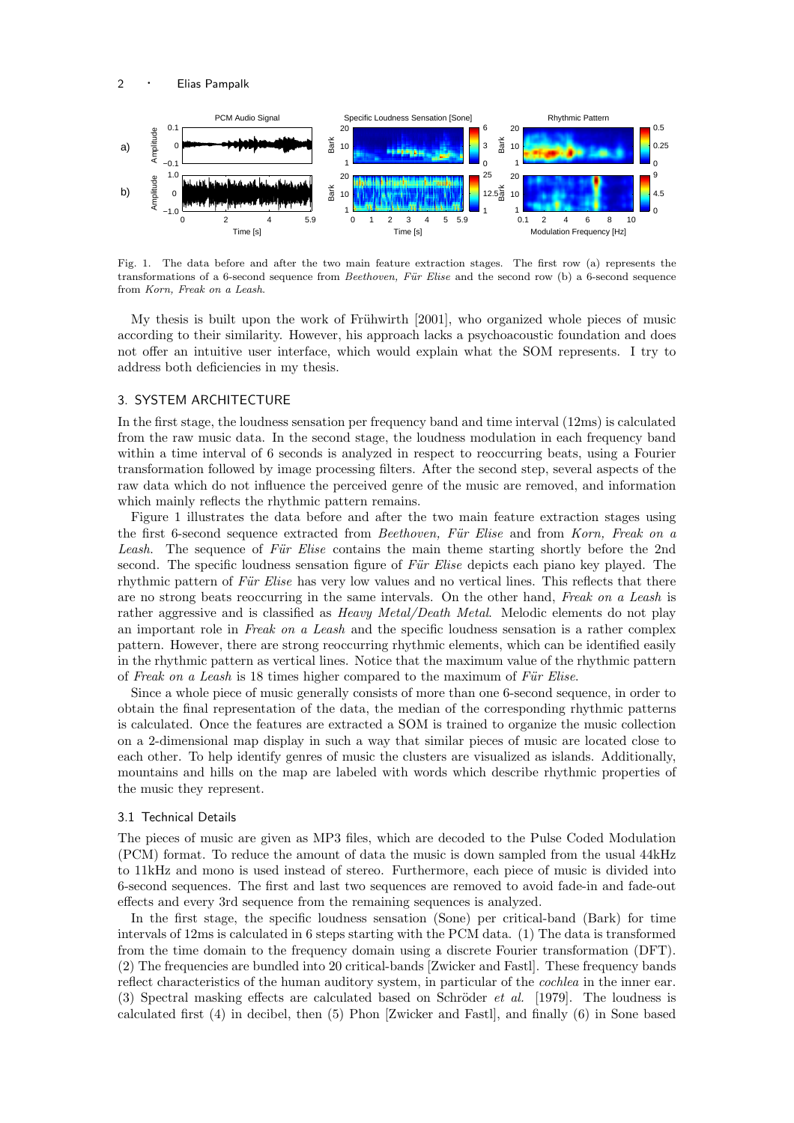2 · Elias Pampalk



Fig. 1. The data before and after the two main feature extraction stages. The first row (a) represents the transformations of a 6-second sequence from Beethoven, Für Elise and the second row (b) a 6-second sequence from Korn, Freak on a Leash.

My thesis is built upon the work of Frühwirth [2001], who organized whole pieces of music according to their similarity. However, his approach lacks a psychoacoustic foundation and does not offer an intuitive user interface, which would explain what the SOM represents. I try to address both deficiencies in my thesis.

# 3. SYSTEM ARCHITECTURE

In the first stage, the loudness sensation per frequency band and time interval (12ms) is calculated from the raw music data. In the second stage, the loudness modulation in each frequency band within a time interval of 6 seconds is analyzed in respect to reoccurring beats, using a Fourier transformation followed by image processing filters. After the second step, several aspects of the raw data which do not influence the perceived genre of the music are removed, and information which mainly reflects the rhythmic pattern remains.

Figure 1 illustrates the data before and after the two main feature extraction stages using the first 6-second sequence extracted from Beethoven, Für Elise and from Korn, Freak on a Leash. The sequence of Für Elise contains the main theme starting shortly before the 2nd second. The specific loudness sensation figure of Für Elise depicts each piano key played. The rhythmic pattern of Für Elise has very low values and no vertical lines. This reflects that there are no strong beats reoccurring in the same intervals. On the other hand, Freak on a Leash is rather aggressive and is classified as *Heavy Metal/Death Metal*. Melodic elements do not play an important role in Freak on a Leash and the specific loudness sensation is a rather complex pattern. However, there are strong reoccurring rhythmic elements, which can be identified easily in the rhythmic pattern as vertical lines. Notice that the maximum value of the rhythmic pattern of Freak on a Leash is 18 times higher compared to the maximum of Für Elise.

Since a whole piece of music generally consists of more than one 6-second sequence, in order to obtain the final representation of the data, the median of the corresponding rhythmic patterns is calculated. Once the features are extracted a SOM is trained to organize the music collection on a 2-dimensional map display in such a way that similar pieces of music are located close to each other. To help identify genres of music the clusters are visualized as islands. Additionally, mountains and hills on the map are labeled with words which describe rhythmic properties of the music they represent.

## 3.1 Technical Details

The pieces of music are given as MP3 files, which are decoded to the Pulse Coded Modulation (PCM) format. To reduce the amount of data the music is down sampled from the usual 44kHz to 11kHz and mono is used instead of stereo. Furthermore, each piece of music is divided into 6-second sequences. The first and last two sequences are removed to avoid fade-in and fade-out effects and every 3rd sequence from the remaining sequences is analyzed.

In the first stage, the specific loudness sensation (Sone) per critical-band (Bark) for time intervals of 12ms is calculated in 6 steps starting with the PCM data. (1) The data is transformed from the time domain to the frequency domain using a discrete Fourier transformation (DFT). (2) The frequencies are bundled into 20 critical-bands [Zwicker and Fastl]. These frequency bands reflect characteristics of the human auditory system, in particular of the *cochlea* in the inner ear. (3) Spectral masking effects are calculated based on Schröder *et al.* [1979]. The loudness is calculated first (4) in decibel, then (5) Phon [Zwicker and Fastl], and finally (6) in Sone based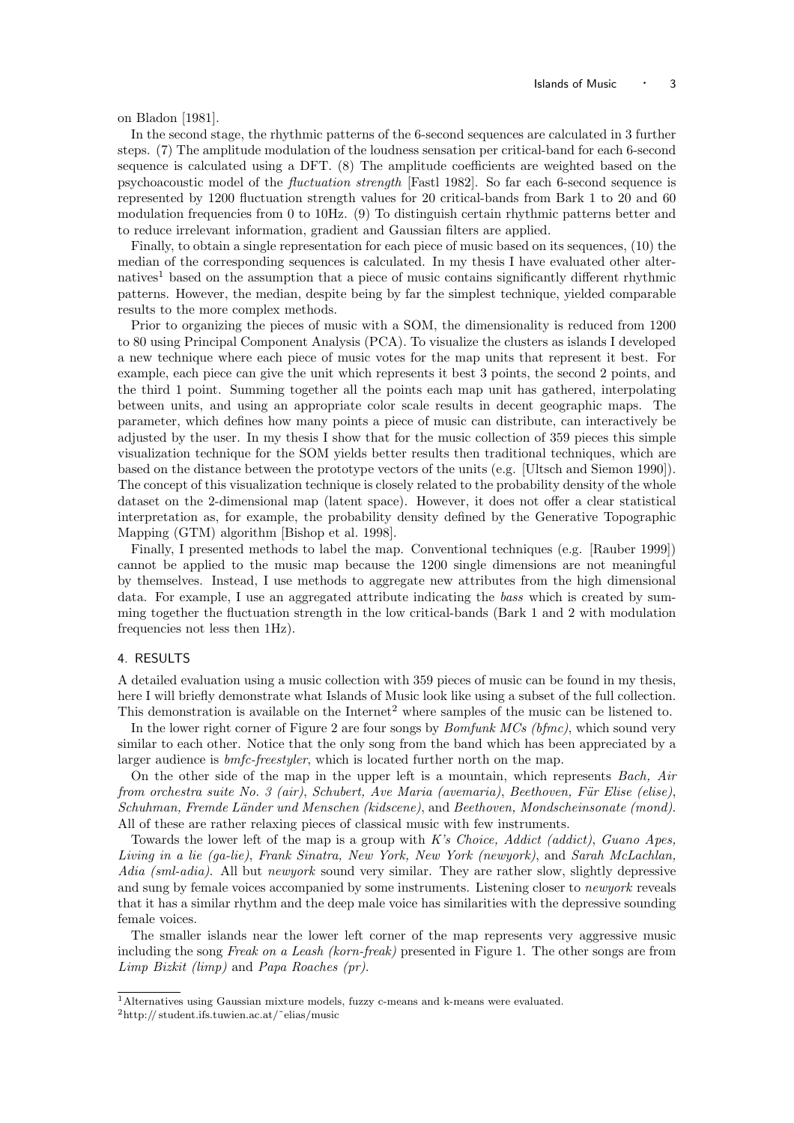on Bladon [1981].

In the second stage, the rhythmic patterns of the 6-second sequences are calculated in 3 further steps. (7) The amplitude modulation of the loudness sensation per critical-band for each 6-second sequence is calculated using a DFT. (8) The amplitude coefficients are weighted based on the psychoacoustic model of the fluctuation strength [Fastl 1982]. So far each 6-second sequence is represented by 1200 fluctuation strength values for 20 critical-bands from Bark 1 to 20 and 60 modulation frequencies from 0 to 10Hz. (9) To distinguish certain rhythmic patterns better and to reduce irrelevant information, gradient and Gaussian filters are applied.

Finally, to obtain a single representation for each piece of music based on its sequences, (10) the median of the corresponding sequences is calculated. In my thesis I have evaluated other alternatives<sup>1</sup> based on the assumption that a piece of music contains significantly different rhythmic patterns. However, the median, despite being by far the simplest technique, yielded comparable results to the more complex methods.

Prior to organizing the pieces of music with a SOM, the dimensionality is reduced from 1200 to 80 using Principal Component Analysis (PCA). To visualize the clusters as islands I developed a new technique where each piece of music votes for the map units that represent it best. For example, each piece can give the unit which represents it best 3 points, the second 2 points, and the third 1 point. Summing together all the points each map unit has gathered, interpolating between units, and using an appropriate color scale results in decent geographic maps. The parameter, which defines how many points a piece of music can distribute, can interactively be adjusted by the user. In my thesis I show that for the music collection of 359 pieces this simple visualization technique for the SOM yields better results then traditional techniques, which are based on the distance between the prototype vectors of the units (e.g. [Ultsch and Siemon 1990]). The concept of this visualization technique is closely related to the probability density of the whole dataset on the 2-dimensional map (latent space). However, it does not offer a clear statistical interpretation as, for example, the probability density defined by the Generative Topographic Mapping (GTM) algorithm [Bishop et al. 1998].

Finally, I presented methods to label the map. Conventional techniques (e.g. [Rauber 1999]) cannot be applied to the music map because the 1200 single dimensions are not meaningful by themselves. Instead, I use methods to aggregate new attributes from the high dimensional data. For example, I use an aggregated attribute indicating the bass which is created by summing together the fluctuation strength in the low critical-bands (Bark 1 and 2 with modulation frequencies not less then 1Hz).

## 4. RESULTS

A detailed evaluation using a music collection with 359 pieces of music can be found in my thesis, here I will briefly demonstrate what Islands of Music look like using a subset of the full collection. This demonstration is available on the Internet<sup>2</sup> where samples of the music can be listened to.

In the lower right corner of Figure 2 are four songs by  $\textit{Bornfunk MCs}$  (bfmc), which sound very similar to each other. Notice that the only song from the band which has been appreciated by a larger audience is *bmfc-freestyler*, which is located further north on the map.

On the other side of the map in the upper left is a mountain, which represents Bach, Air from orchestra suite No. 3 (air), Schubert, Ave Maria (avemaria), Beethoven, Für Elise (elise), Schuhman, Fremde Länder und Menschen (kidscene), and Beethoven, Mondscheinsonate (mond). All of these are rather relaxing pieces of classical music with few instruments.

Towards the lower left of the map is a group with K's Choice, Addict (addict), Guano Apes, Living in a lie (ga-lie), Frank Sinatra, New York, New York (newyork), and Sarah McLachlan, Adia (sml-adia). All but newyork sound very similar. They are rather slow, slightly depressive and sung by female voices accompanied by some instruments. Listening closer to *newyork* reveals that it has a similar rhythm and the deep male voice has similarities with the depressive sounding female voices.

The smaller islands near the lower left corner of the map represents very aggressive music including the song Freak on a Leash (korn-freak) presented in Figure 1. The other songs are from Limp Bizkit (limp) and Papa Roaches (pr).

<sup>1</sup>Alternatives using Gaussian mixture models, fuzzy c-means and k-means were evaluated.

 $^{2}$ http:// student.ifs.tuwien.ac.at/ $\degree$ elias/music